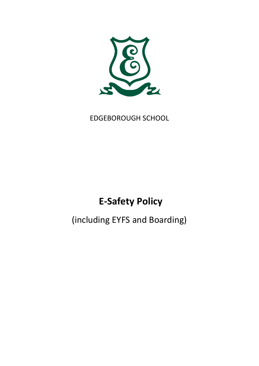

# EDGEBOROUGH SCHOOL

# **E-Safety Policy**

(including EYFS and Boarding)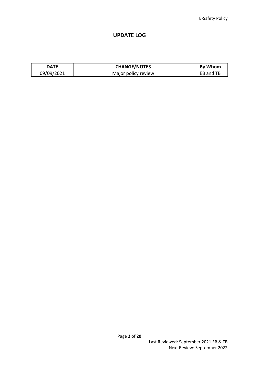### **UPDATE LOG**

| <b>DATE</b> | <b>CHANGE/NOTES</b> | <b>By Whom</b> |
|-------------|---------------------|----------------|
| 09/09/2021  | Major policy review | EB and TB      |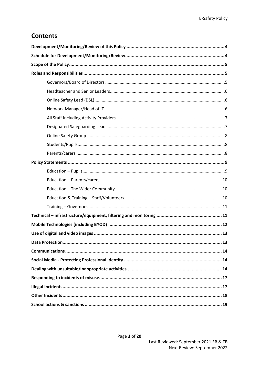# **Contents**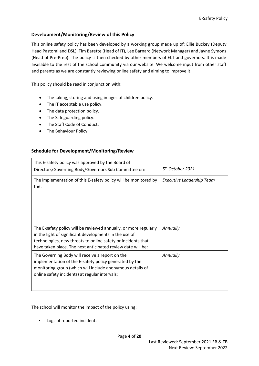#### <span id="page-3-0"></span>**Development/Monitoring/Review of this Policy**

This online safety policy has been developed by a working group made up of: Ellie Buckey (Deputy Head Pastoral and DSL), Tim Barette (Head of IT), Lee Barnard (Network Manager) and Jayne Symons (Head of Pre-Prep). The policy is then checked by other members of ELT and governors. It is made available to the rest of the school community via our website. We welcome input from other staff and parents as we are constantly reviewing online safety and aiming to improve it.

This policy should be read in conjunction with:

- The taking, storing and using images of children policy.
- The IT acceptable use policy.
- The data protection policy.
- The Safeguarding policy.
- The Staff Code of Conduct.
- <span id="page-3-1"></span>• The Behaviour Policy.

#### **Schedule for Development/Monitoring/Review**

| This E-safety policy was approved by the Board of<br>Directors/Governing Body/Governors Sub Committee on:                                                                                                                                                 | 5 <sup>th</sup> October 2021     |
|-----------------------------------------------------------------------------------------------------------------------------------------------------------------------------------------------------------------------------------------------------------|----------------------------------|
| The implementation of this E-safety policy will be monitored by<br>the:                                                                                                                                                                                   | <b>Executive Leadership Team</b> |
| The E-safety policy will be reviewed annually, or more regularly<br>in the light of significant developments in the use of<br>technologies, new threats to online safety or incidents that<br>have taken place. The next anticipated review date will be: | Annually                         |
| The Governing Body will receive a report on the<br>implementation of the E-safety policy generated by the<br>monitoring group (which will include anonymous details of<br>online safety incidents) at regular intervals:                                  | Annually                         |

The school will monitor the impact of the policy using:

• Logs of reported incidents.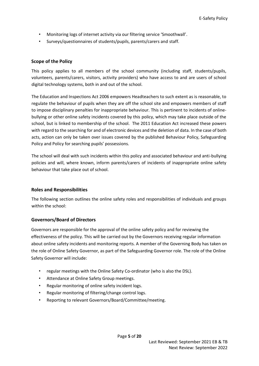- Monitoring logs of internet activity via our filtering service 'Smoothwall'.
- Surveys/questionnaires of students/pupils, parents/carers and staff.

#### <span id="page-4-0"></span>**Scope of the Policy**

This policy applies to all members of the school community (including staff, students/pupils, volunteers, parents/carers, visitors, activity providers) who have access to and are users of school digital technology systems, both in and out of the school.

The Education and Inspections Act 2006 empowers Headteachers to such extent as is reasonable, to regulate the behaviour of pupils when they are off the school site and empowers members of staff to impose disciplinary penalties for inappropriate behaviour. This is pertinent to incidents of onlinebullying or other online safety incidents covered by this policy, which may take place outside of the school, but is linked to membership of the school. The 2011 Education Act increased these powers with regard to the searching for and of electronic devices and the deletion of data. In the case of both acts, action can only be taken over issues covered by the published Behaviour Policy, Safeguarding Policy and Policy for searching pupils' possessions.

The school will deal with such incidents within this policy and associated behaviour and anti-bullying policies and will, where known, inform parents/carers of incidents of inappropriate online safety behaviour that take place out of school.

#### <span id="page-4-1"></span>**Roles and Responsibilities**

The following section outlines the online safety roles and responsibilities of individuals and groups within the school:

#### <span id="page-4-2"></span>**Governors/Board of Directors**

Governors are responsible for the approval of the online safety policy and for reviewing the effectiveness of the policy. This will be carried out by the Governors receiving regular information about online safety incidents and monitoring reports. A member of the Governing Body has taken on the role of Online Safety Governor, as part of the Safeguarding Governor role. The role of the Online Safety Governor will include:

- regular meetings with the Online Safety Co-ordinator (who is also the DSL).
- Attendance at Online Safety Group meetings.
- Regular monitoring of online safety incident logs.
- Regular monitoring of filtering/change control logs.
- Reporting to relevant Governors/Board/Committee/meeting.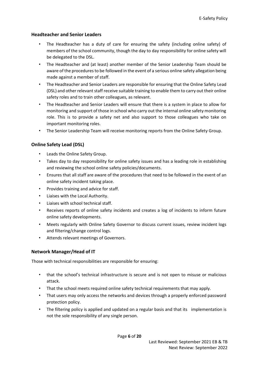#### <span id="page-5-0"></span>**Headteacher and Senior Leaders**

- The Headteacher has a duty of care for ensuring the safety (including online safety) of members of the school community, though the day to day responsibility for online safety will be delegated to the DSL.
- The Headteacher and (at least) another member of the Senior Leadership Team should be aware of the procedures to be followed in the event of a serious online safety allegation being made against a member of staff.
- The Headteacher and Senior Leaders are responsible for ensuring that the Online Safety Lead (DSL) and other relevant staff receive suitable training to enable them to carry out their online safety roles and to train other colleagues, as relevant.
- The Headteacher and Senior Leaders will ensure that there is a system in place to allow for monitoring and support of those in school who carry out the internal online safety monitoring role. This is to provide a safety net and also support to those colleagues who take on important monitoring roles.
- The Senior Leadership Team will receive monitoring reports from the Online Safety Group.

#### <span id="page-5-1"></span>**Online Safety Lead (DSL)**

- Leads the Online Safety Group.
- Takes day to day responsibility for online safety issues and has a leading role in establishing and reviewing the school online safety policies/documents.
- Ensures that all staff are aware of the procedures that need to be followed in the event of an online safety incident taking place.
- Provides training and advice for staff.
- Liaises with the Local Authority.
- Liaises with school technical staff.
- Receives reports of online safety incidents and creates a log of incidents to inform future online safety developments.
- Meets regularly with Online Safety Governor to discuss current issues, review incident logs and filtering/change control logs.
- Attends relevant meetings of Governors.

#### <span id="page-5-2"></span>**Network Manager/Head of IT**

Those with technical responsibilities are responsible for ensuring:

- that the school's technical infrastructure is secure and is not open to misuse or malicious attack.
- That the school meets required online safety technical requirements that may apply.
- That users may only access the networks and devices through a properly enforced password protection policy.
- The filtering policy is applied and updated on a regular basis and that its implementation is not the sole responsibility of any single person.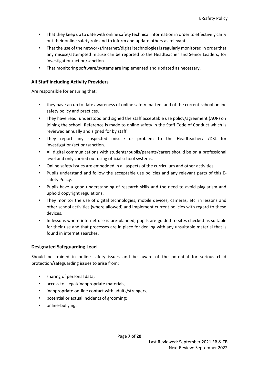- That they keep up to date with online safety technical information in order to effectively carry out their online safety role and to inform and update others as relevant.
- That the use of the networks/internet/digital technologies is regularly monitored in order that any misuse/attempted misuse can be reported to the Headteacher and Senior Leaders; for investigation/action/sanction.
- That monitoring software/systems are implemented and updated as necessary.

#### <span id="page-6-0"></span>**All Staff including Activity Providers**

Are responsible for ensuring that:

- they have an up to date awareness of online safety matters and of the current school online safety policy and practices.
- They have read, understood and signed the staff acceptable use policy/agreement (AUP) on joining the school. Reference is made to online safety in the Staff Code of Conduct which is reviewed annually and signed for by staff.
- They report any suspected misuse or problem to the Headteacher/ /DSL for investigation/action/sanction.
- All digital communications with students/pupils/parents/carers should be on a professional level and only carried out using official school systems.
- Online safety issues are embedded in all aspects of the curriculum and other activities.
- Pupils understand and follow the acceptable use policies and any relevant parts of this Esafety Policy.
- Pupils have a good understanding of research skills and the need to avoid plagiarism and uphold copyright regulations.
- They monitor the use of digital technologies, mobile devices, cameras, etc. in lessons and other school activities (where allowed) and implement current policies with regard to these devices.
- In lessons where internet use is pre-planned, pupils are guided to sites checked as suitable for their use and that processes are in place for dealing with any unsuitable material that is found in internet searches.

#### <span id="page-6-1"></span>**Designated Safeguarding Lead**

Should be trained in online safety issues and be aware of the potential for serious child protection/safeguarding issues to arise from:

- sharing of personal data;
- access to illegal/inappropriate materials;
- inappropriate on-line contact with adults/strangers;
- potential or actual incidents of grooming;
- online-bullying.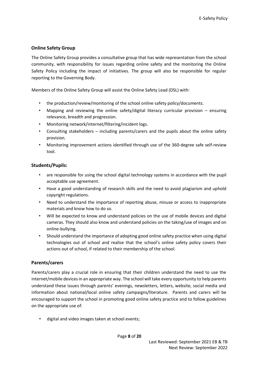#### <span id="page-7-0"></span>**Online Safety Group**

The Online Safety Group provides a consultative group that has wide representation from the school community, with responsibility for issues regarding online safety and the monitoring the Online Safety Policy including the impact of initiatives. The group will also be responsible for regular reporting to the Governing Body.

Members of the Online Safety Group will assist the Online Safety Lead (DSL) with:

- the production/review/monitoring of the school online safety policy/documents.
- Mapping and reviewing the online safety/digital literacy curricular provision ensuring relevance, breadth and progression.
- Monitoring network/internet/filtering/incident logs.
- Consulting stakeholders including parents/carers and the pupils about the online safety provision.
- Monitoring improvement actions identified through use of the 360-degree safe self-review tool.

#### <span id="page-7-1"></span>**Students/Pupils:**

- are responsible for using the school digital technology systems in accordance with the pupil acceptable use agreement.
- Have a good understanding of research skills and the need to avoid plagiarism and uphold copyright regulations.
- Need to understand the importance of reporting abuse, misuse or access to inappropriate materials and know how to do so.
- Will be expected to know and understand policies on the use of mobile devices and digital cameras. They should also know and understand policies on the taking/use of images and on online-bullying.
- Should understand the importance of adopting good online safety practice when using digital technologies out of school and realise that the school's online safety policy covers their actions out of school, if related to their membership of the school.

#### <span id="page-7-2"></span>**Parents/carers**

Parents/carers play a crucial role in ensuring that their children understand the need to use the internet/mobile devices in an appropriate way. The school will take every opportunity to help parents understand these issues through parents' evenings, newsletters, letters, website, social media and information about national/local online safety campaigns/literature. Parents and carers will be encouraged to support the school in promoting good online safety practice and to follow guidelines on the appropriate use of:

• digital and video images taken at school events;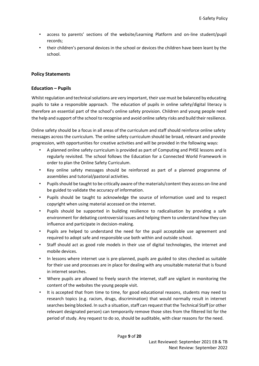- access to parents' sections of the website/Learning Platform and on-line student/pupil records;
- their children's personal devices in the school or devices the children have been leant by the school.

#### <span id="page-8-0"></span>**Policy Statements**

#### <span id="page-8-1"></span>**Education – Pupils**

Whilst regulation and technical solutions are very important, their use must be balanced by educating pupils to take a responsible approach. The education of pupils in online safety/digital literacy is therefore an essential part of the school's online safety provision. Children and young people need the help and support of the school to recognise and avoid online safety risks and build their resilience.

Online safety should be a focus in all areas of the curriculum and staff should reinforce online safety messages across the curriculum. The online safety curriculum should be broad, relevant and provide progression, with opportunities for creative activities and will be provided in the following ways:

- A planned online safety curriculum is provided as part of Computing and PHSE lessons and is regularly revisited. The school follows the Education for a Connected World Framework in order to plan the Online Safety Curriculum.
- Key online safety messages should be reinforced as part of a planned programme of assemblies and tutorial/pastoral activities.
- Pupils should be taught to be critically aware of the materials/content they access on-line and be guided to validate the accuracy of information.
- Pupils should be taught to acknowledge the source of information used and to respect copyright when using material accessed on the internet.
- Pupils should be supported in building resilience to radicalisation by providing a safe environment for debating controversial issues and helping them to understand how they can influence and participate in decision-making.
- Pupils are helped to understand the need for the pupil acceptable use agreement and required to adopt safe and responsible use both within and outside school.
- Staff should act as good role models in their use of digital technologies, the internet and mobile devices.
- In lessons where internet use is pre-planned, pupils are guided to sites checked as suitable for their use and processes are in place for dealing with any unsuitable material that is found in internet searches.
- Where pupils are allowed to freely search the internet, staff are vigilant in monitoring the content of the websites the young people visit.
- It is accepted that from time to time, for good educational reasons, students may need to research topics (e.g. racism, drugs, discrimination) that would normally result in internet searches being blocked. In such a situation, staff can request that the Technical Staff (or other relevant designated person) can temporarily remove those sites from the filtered list for the period of study. Any request to do so, should be auditable, with clear reasons for the need.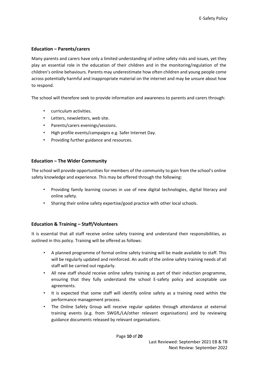#### <span id="page-9-0"></span>**Education – Parents/carers**

Many parents and carers have only a limited understanding of online safety risks and issues, yet they play an essential role in the education of their children and in the monitoring/regulation of the children's online behaviours. Parents may underestimate how often children and young people come across potentially harmful and inappropriate material on the internet and may be unsure about how to respond.

The school will therefore seek to provide information and awareness to parents and carers through:

- curriculum activities.
- Letters, newsletters, web site.
- Parents/carers evenings/sessions.
- High profile events/campaigns e.g. Safer Internet Day.
- Providing further guidance and resources.

#### <span id="page-9-1"></span>**Education – The Wider Community**

The school will provide opportunities for members of the community to gain from the school's online safety knowledge and experience. This may be offered through the following:

- Providing family learning courses in use of new digital technologies, digital literacy and online safety.
- Sharing their online safety expertise/good practice with other local schools.

#### <span id="page-9-2"></span>**Education & Training – Staff/Volunteers**

It is essential that all staff receive online safety training and understand their responsibilities, as outlined in this policy. Training will be offered as follows:

- A planned programme of formal online safety training will be made available to staff. This will be regularly updated and reinforced. An audit of the online safety training needs of all staff will be carried out regularly.
- All new staff should receive online safety training as part of their induction programme, ensuring that they fully understand the school E-safety policy and acceptable use agreements.
- It is expected that some staff will identify online safety as a training need within the performance management process.
- The Online Safety Group will receive regular updates through attendance at external training events (e.g. from SWGfL/LA/other relevant organisations) and by reviewing guidance documents released by relevant organisations.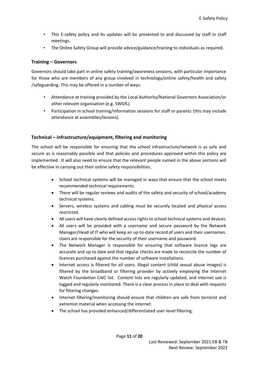- This E-safety policy and its updates will be presented to and discussed by staff in staff meetings.
- The Online Safety Group will provide advice/guidance/training to individuals as required.

#### <span id="page-10-0"></span>**Training – Governors**

Governors should take part in online safety training/awareness sessions, with particular importance for those who are members of any group involved in technology/online safety/health and safety /safeguarding. This may be offered in a number of ways:

- Attendance at training provided by the Local Authority/National Governors Association/or other relevant organisation (e.g. SWGfL).
- Participation in school training/information sessions for staff or parents (this may include attendance at assemblies/lessons).

#### <span id="page-10-1"></span>**Technical – infrastructure/equipment, filtering and monitoring**

The school will be responsible for ensuring that the school infrastructure/network is as safe and secure as is reasonably possible and that policies and procedures approved within this policy are implemented. It will also need to ensure that the relevant people named in the above sections will be effective in carrying out their online safety responsibilities.

- School technical systems will be managed in ways that ensure that the school meets recommended technical requirements.
- There will be regular reviews and audits of the safety and security of school/academy technical systems.
- Servers, wireless systems and cabling must be securely located and physical access restricted.
- All users will have clearly defined access rights to school technical systems and devices.
- All users will be provided with a username and secure password by the Network Manager/Head of IT who will keep an up-to-date record of users and their usernames. Users are responsible for the security of their username and password.
- The Network Manager is responsible for ensuring that software licence logs are accurate and up to date and that regular checks are made to reconcile the number of licences purchased against the number of software installations.
- Internet access is filtered for all users. Illegal content (child sexual abuse images) is filtered by the broadband or filtering provider by actively employing the Internet Watch Foundation CAIC list. Content lists are regularly updated, and internet use is logged and regularly monitored. There is a clear process in place to deal with requests for filtering changes.
- Internet filtering/monitoring should ensure that children are safe from terrorist and extremist material when accessing the internet.
- The school has provided enhanced/differentiated user-level filtering.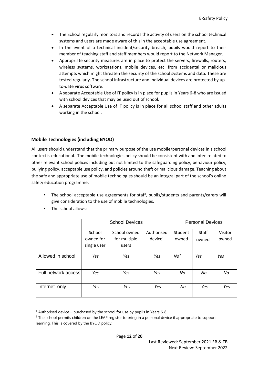- The School regularly monitors and records the activity of users on the school technical systems and users are made aware of this in the acceptable use agreement.
- In the event of a technical incident/security breach, pupils would report to their member of teaching staff and staff members would report to the Network Manager.
- Appropriate security measures are in place to protect the servers, firewalls, routers, wireless systems, workstations, mobile devices, etc. from accidental or malicious attempts which might threaten the security of the school systems and data. These are tested regularly. The school infrastructure and individual devices are protected by upto-date virus software.
- A separate Acceptable Use of IT policy is in place for pupils in Years 6-8 who are issued with school devices that may be used out of school.
- A separate Acceptable Use of IT policy is in place for all school staff and other adults working in the school.

#### <span id="page-11-0"></span>**Mobile Technologies (including BYOD)**

All users should understand that the primary purpose of the use mobile/personal devices in a school context is educational. The mobile technologies policy should be consistent with and inter-related to other relevant school polices including but not limited to the safeguarding policy, behaviour policy, bullying policy, acceptable use policy, and policies around theft or malicious damage. Teaching about the safe and appropriate use of mobile technologies should be an integral part of the school's online safety education programme.

- The school acceptable use agreements for staff, pupils/students and parents/carers will give consideration to the use of mobile technologies.
- School Devices **Personal Devices** School owned for single user School owned for multiple users Authorised  $device<sup>1</sup>$ Student owned **Staff** owned Visitor owned Allowed in school *Yes Yes Yes No<sup>2</sup> Yes Yes*  Full network access *Yes Yes Yes No No No*  Internet only *Yes Yes Yes No Yes Yes*
- The school allows:

 $1$  Authorised device – purchased by the school for use by pupils in Years 6-8.

<sup>&</sup>lt;sup>2</sup> The school permits children on the LEAP register to bring in a personal device if appropriate to support learning. This is covered by the BYOD policy.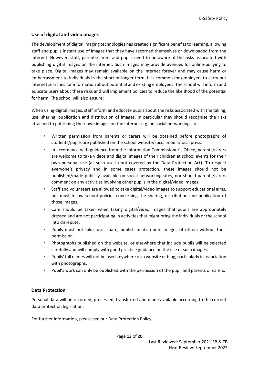#### <span id="page-12-0"></span>**Use of digital and video images**

The development of digital imaging technologies has created significant benefits to learning, allowing staff and pupils instant use of images that they have recorded themselves or downloaded from the internet. However, staff, parents/carers and pupils need to be aware of the risks associated with publishing digital images on the internet. Such images may provide avenues for online-bullying to take place. Digital images may remain available on the internet forever and may cause harm or embarrassment to individuals in the short or longer term. It is common for employers to carry out internet searches for information about potential and existing employees. The school will inform and educate users about these risks and will implement policies to reduce the likelihood of the potential for harm. The school will also ensure:

When using digital images, staff inform and educate pupils about the risks associated with the taking, use, sharing, publication and distribution of images. In particular they should recognise the risks attached to publishing their own images on the internet e.g. on social networking sites.

- Written permission from parents or carers will be obtained before photographs of students/pupils are published on the school website/social media/local press.
- In accordance with guidance from the Information Commissioner's Office, parents/carers are welcome to take videos and digital images of their children at school events for their own personal use (as such use in not covered by the Data Protection Act). To respect everyone's privacy and in some cases protection, these images should not be published/made publicly available on social networking sites, nor should parents/carers comment on any activities involving other pupils in the digital/video images.
- Staff and volunteers are allowed to take digital/video images to support educational aims, but must follow school policies concerning the sharing, distribution and publication of those images.
- Care should be taken when taking digital/video images that pupils are appropriately dressed and are not participating in activities that might bring the individuals or the school into disrepute.
- Pupils must not take, use, share, publish or distribute images of others without their permission.
- Photographs published on the website, or elsewhere that include pupils will be selected carefully and will comply with good practice guidance on the use of such images.
- Pupils' full names will not be used anywhere on a website or blog, particularly in association with photographs.
- Pupil's work can only be published with the permission of the pupil and parents or carers.

#### <span id="page-12-1"></span>**Data Protection**

Personal data will be recorded, processed, transferred and made available according to the current data protection legislation.

For further information, please see our Data Protection Policy.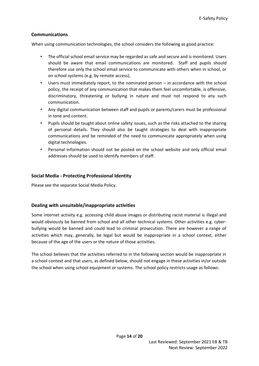#### <span id="page-13-0"></span>**Communications**

When using communication technologies, the school considers the following as good practice:

- The official school email service may be regarded as safe and secure and is monitored. Users should be aware that email communications are monitored. Staff and pupils should therefore use only the school email service to communicate with others when in school, or on school systems (e.g. by remote access).
- Users must immediately report, to the nominated person  $-$  in accordance with the school policy, the receipt of any communication that makes them feel uncomfortable, is offensive, discriminatory, threatening or bullying in nature and must not respond to any such communication.
- Any digital communication between staff and pupils or parents/carers must be professional in tone and content.
- Pupils should be taught about online safety issues, such as the risks attached to the sharing of personal details. They should also be taught strategies to deal with inappropriate communications and be reminded of the need to communicate appropriately when using digital technologies.
- Personal information should not be posted on the school website and only official email addresses should be used to identify members of staff.

#### <span id="page-13-1"></span>**Social Media - Protecting Professional Identity**

Please see the separate Social Media Policy.

#### <span id="page-13-2"></span>**Dealing with unsuitable/inappropriate activities**

Some internet activity e.g. accessing child abuse images or distributing racist material is illegal and would obviously be banned from school and all other technical systems. Other activities e.g. cyberbullying would be banned and could lead to criminal prosecution. There are however a range of activities which may, generally, be legal but would be inappropriate in a school context, either because of the age of the users or the nature of those activities.

The school believes that the activities referred to in the following section would be inappropriate in a school context and that users, as defined below, should not engage in these activities in/or outside the school when using school equipment or systems. The school policy restricts usage as follows: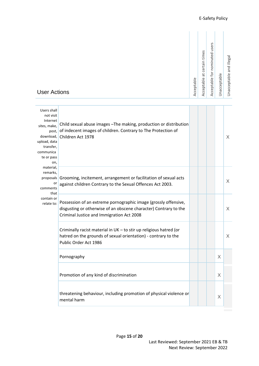| Acceptable                     |
|--------------------------------|
| Acceptable at certain times    |
| Acceptable for nominated users |
| Unacceptable                   |
| Unacceptable and illegal       |

## User Actions

| Users shall<br>not visit<br>Internet<br>sites, make,<br>post.<br>download,<br>upload, data<br>transfer,<br>communica<br>te or pass<br>on,<br>material,<br>remarks,<br>or<br>comments<br>that<br>contain or<br>relate to: | Child sexual abuse images - The making, production or distribution<br>of indecent images of children. Contrary to The Protection of<br>Children Act 1978                         |  |   | X        |
|--------------------------------------------------------------------------------------------------------------------------------------------------------------------------------------------------------------------------|----------------------------------------------------------------------------------------------------------------------------------------------------------------------------------|--|---|----------|
|                                                                                                                                                                                                                          | proposals Grooming, incitement, arrangement or facilitation of sexual acts<br>against children Contrary to the Sexual Offences Act 2003.                                         |  |   | X        |
|                                                                                                                                                                                                                          | Possession of an extreme pornographic image (grossly offensive,<br>disgusting or otherwise of an obscene character) Contrary to the<br>Criminal Justice and Immigration Act 2008 |  |   | $\times$ |
|                                                                                                                                                                                                                          | Criminally racist material in UK - to stir up religious hatred (or<br>hatred on the grounds of sexual orientation) - contrary to the<br>Public Order Act 1986                    |  |   | X        |
|                                                                                                                                                                                                                          | Pornography                                                                                                                                                                      |  | X |          |
|                                                                                                                                                                                                                          | Promotion of any kind of discrimination                                                                                                                                          |  | X |          |
|                                                                                                                                                                                                                          | threatening behaviour, including promotion of physical violence or<br>mental harm                                                                                                |  | X |          |
|                                                                                                                                                                                                                          |                                                                                                                                                                                  |  |   |          |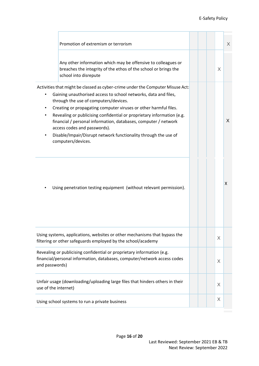|                      | Promotion of extremism or terrorism                                                                                                                                                                                                                                                                                                                                                                                                                                                                                                  |  |   | $\times$ |
|----------------------|--------------------------------------------------------------------------------------------------------------------------------------------------------------------------------------------------------------------------------------------------------------------------------------------------------------------------------------------------------------------------------------------------------------------------------------------------------------------------------------------------------------------------------------|--|---|----------|
|                      | Any other information which may be offensive to colleagues or<br>breaches the integrity of the ethos of the school or brings the<br>school into disrepute                                                                                                                                                                                                                                                                                                                                                                            |  | X |          |
|                      | Activities that might be classed as cyber-crime under the Computer Misuse Act:<br>Gaining unauthorised access to school networks, data and files,<br>through the use of computers/devices.<br>Creating or propagating computer viruses or other harmful files.<br>Revealing or publicising confidential or proprietary information (e.g.<br>financial / personal information, databases, computer / network<br>access codes and passwords).<br>Disable/Impair/Disrupt network functionality through the use of<br>computers/devices. |  |   | X        |
|                      | Using penetration testing equipment (without relevant permission).                                                                                                                                                                                                                                                                                                                                                                                                                                                                   |  |   | Χ        |
|                      | Using systems, applications, websites or other mechanisms that bypass the<br>filtering or other safeguards employed by the school/academy                                                                                                                                                                                                                                                                                                                                                                                            |  | X |          |
| and passwords)       | Revealing or publicising confidential or proprietary information (e.g.<br>financial/personal information, databases, computer/network access codes                                                                                                                                                                                                                                                                                                                                                                                   |  | X |          |
| use of the internet) | Unfair usage (downloading/uploading large files that hinders others in their                                                                                                                                                                                                                                                                                                                                                                                                                                                         |  | X |          |
|                      | Using school systems to run a private business                                                                                                                                                                                                                                                                                                                                                                                                                                                                                       |  | X |          |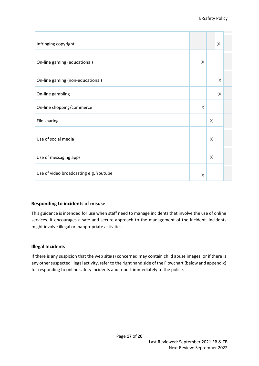| Infringing copyright                   |   |          | X        |  |
|----------------------------------------|---|----------|----------|--|
| On-line gaming (educational)           | X |          |          |  |
| On-line gaming (non-educational)       |   |          | X        |  |
| On-line gambling                       |   |          | $\times$ |  |
| On-line shopping/commerce              | X |          |          |  |
| File sharing                           |   | $\times$ |          |  |
| Use of social media                    |   | X        |          |  |
| Use of messaging apps                  |   | X        |          |  |
| Use of video broadcasting e.g. Youtube | X |          |          |  |

#### <span id="page-16-0"></span>**Responding to incidents of misuse**

This guidance is intended for use when staff need to manage incidents that involve the use of online services. It encourages a safe and secure approach to the management of the incident. Incidents might involve illegal or inappropriate activities.

#### <span id="page-16-1"></span>**Illegal Incidents**

If there is any suspicion that the web site(s) concerned may contain child abuse images, or if there is any other suspected illegal activity, refer to the right hand side of the Flowchart (below and appendix) for responding to online safety incidents and report immediately to the police.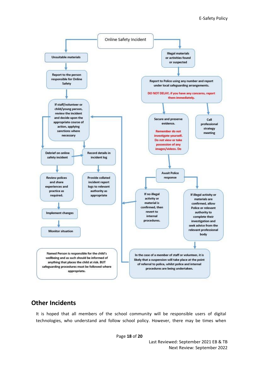

# <span id="page-17-0"></span>**Other Incidents**

It is hoped that all members of the school community will be responsible users of digital technologies, who understand and follow school policy. However, there may be times when

Page **18** of **20**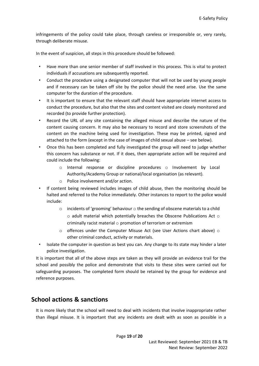infringements of the policy could take place, through careless or irresponsible or, very rarely, through deliberate misuse.

In the event of suspicion, all steps in this procedure should be followed:

- Have more than one senior member of staff involved in this process. This is vital to protect individuals if accusations are subsequently reported.
- Conduct the procedure using a designated computer that will not be used by young people and if necessary can be taken off site by the police should the need arise. Use the same computer for the duration of the procedure.
- It is important to ensure that the relevant staff should have appropriate internet access to conduct the procedure, but also that the sites and content visited are closely monitored and recorded (to provide further protection).
- Record the URL of any site containing the alleged misuse and describe the nature of the content causing concern. It may also be necessary to record and store screenshots of the content on the machine being used for investigation. These may be printed, signed and attached to the form (except in the case of images of child sexual abuse – see below).
- Once this has been completed and fully investigated the group will need to judge whether this concern has substance or not. If it does, then appropriate action will be required and could include the following:
	- o Internal response or discipline procedures o Involvement by Local Authority/Academy Group or national/local organisation (as relevant).
	- o Police involvement and/or action.
- If content being reviewed includes images of child abuse, then the monitoring should be halted and referred to the Police immediately. Other instances to report to the police would include:
	- $\circ$  incidents of 'grooming' behaviour  $\circ$  the sending of obscene materials to a child o adult material which potentially breaches the Obscene Publications Act o criminally racist material  $\circ$  promotion of terrorism or extremism
	- $\circ$  offences under the Computer Misuse Act (see User Actions chart above)  $\circ$ other criminal conduct, activity or materials.
- Isolate the computer in question as best you can. Any change to its state may hinder a later police investigation.

It is important that all of the above steps are taken as they will provide an evidence trail for the school and possibly the police and demonstrate that visits to these sites were carried out for safeguarding purposes. The completed form should be retained by the group for evidence and reference purposes.

## <span id="page-18-0"></span>**School actions & sanctions**

It is more likely that the school will need to deal with incidents that involve inappropriate rather than illegal misuse. It is important that any incidents are dealt with as soon as possible in a